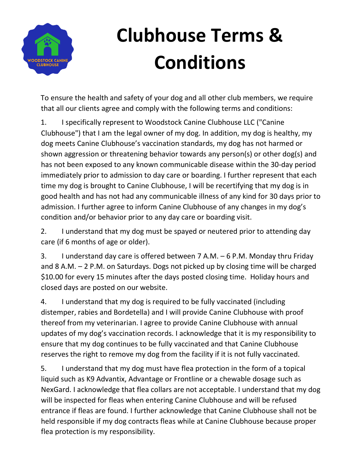

## **Clubhouse Terms & Conditions**

To ensure the health and safety of your dog and all other club members, we require that all our clients agree and comply with the following terms and conditions:

1. I specifically represent to Woodstock Canine Clubhouse LLC ("Canine Clubhouse") that I am the legal owner of my dog. In addition, my dog is healthy, my dog meets Canine Clubhouse's vaccination standards, my dog has not harmed or shown aggression or threatening behavior towards any person(s) or other dog(s) and has not been exposed to any known communicable disease within the 30-day period immediately prior to admission to day care or boarding. I further represent that each time my dog is brought to Canine Clubhouse, I will be recertifying that my dog is in good health and has not had any communicable illness of any kind for 30 days prior to admission. I further agree to inform Canine Clubhouse of any changes in my dog's condition and/or behavior prior to any day care or boarding visit.

2. I understand that my dog must be spayed or neutered prior to attending day care (if 6 months of age or older).

3. I understand day care is offered between 7 A.M. – 6 P.M. Monday thru Friday and 8 A.M. – 2 P.M. on Saturdays. Dogs not picked up by closing time will be charged \$10.00 for every 15 minutes after the days posted closing time. Holiday hours and closed days are posted on our website.

4. I understand that my dog is required to be fully vaccinated (including distemper, rabies and Bordetella) and I will provide Canine Clubhouse with proof thereof from my veterinarian. I agree to provide Canine Clubhouse with annual updates of my dog's vaccination records. I acknowledge that it is my responsibility to ensure that my dog continues to be fully vaccinated and that Canine Clubhouse reserves the right to remove my dog from the facility if it is not fully vaccinated.

5. I understand that my dog must have flea protection in the form of a topical liquid such as K9 Advantix, Advantage or Frontline or a chewable dosage such as NexGard. I acknowledge that flea collars are not acceptable. I understand that my dog will be inspected for fleas when entering Canine Clubhouse and will be refused entrance if fleas are found. I further acknowledge that Canine Clubhouse shall not be held responsible if my dog contracts fleas while at Canine Clubhouse because proper flea protection is my responsibility.